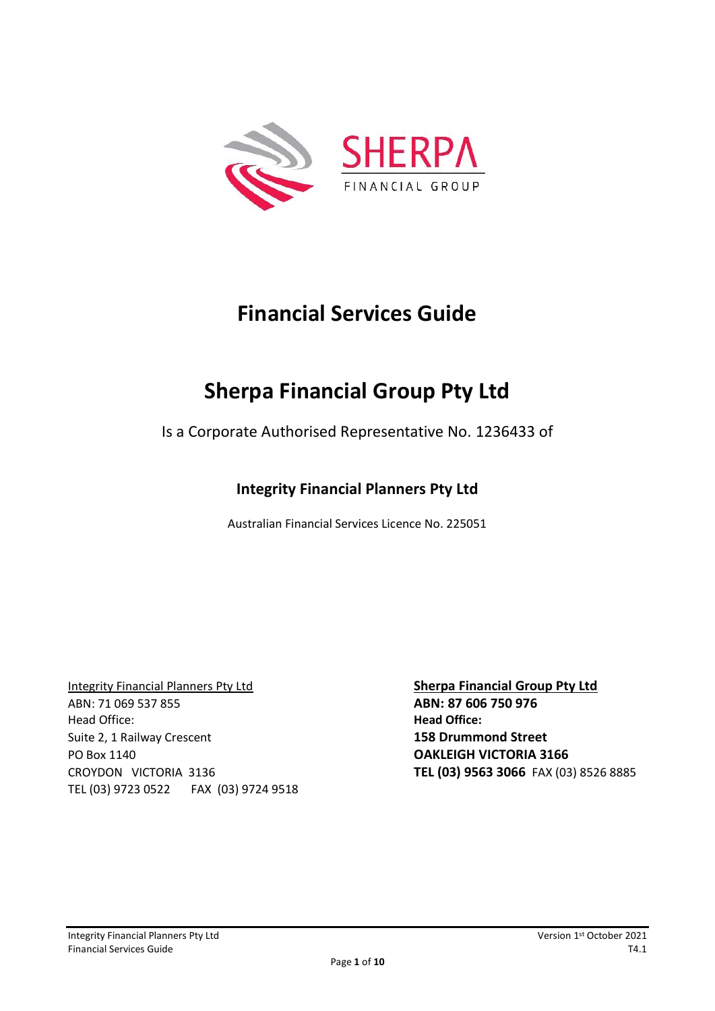

## **Financial Services Guide**

# **Sherpa Financial Group Pty Ltd**

Is a Corporate Authorised Representative No. 1236433 of

## **Integrity Financial Planners Pty Ltd**

Australian Financial Services Licence No. 225051

Integrity Financial Planners Pty Ltd **Sherpa Financial Group Pty Ltd** ABN: 71 069 537 855 **ABN: 87 606 750 976** Head Office: **Head Office:**  Suite 2, 1 Railway Crescent **158 Drummond Street**  PO Box 1140 **OAKLEIGH VICTORIA 3166** CROYDON VICTORIA 3136 **TEL (03) 9563 3066** FAX (03) 8526 8885 TEL (03) 9723 0522 FAX (03) 9724 9518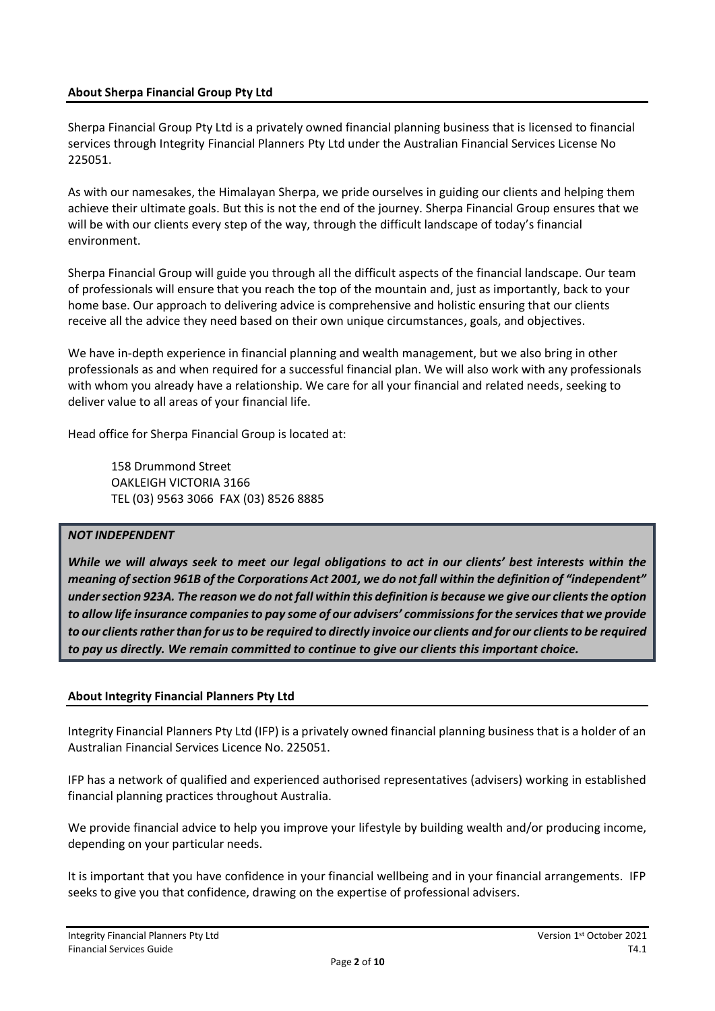#### **About Sherpa Financial Group Pty Ltd**

Sherpa Financial Group Pty Ltd is a privately owned financial planning business that is licensed to financial services through Integrity Financial Planners Pty Ltd under the Australian Financial Services License No 225051.

As with our namesakes, the Himalayan Sherpa, we pride ourselves in guiding our clients and helping them achieve their ultimate goals. But this is not the end of the journey. Sherpa Financial Group ensures that we will be with our clients every step of the way, through the difficult landscape of today's financial environment.

Sherpa Financial Group will guide you through all the difficult aspects of the financial landscape. Our team of professionals will ensure that you reach the top of the mountain and, just as importantly, back to your home base. Our approach to delivering advice is comprehensive and holistic ensuring that our clients receive all the advice they need based on their own unique circumstances, goals, and objectives.

We have in-depth experience in financial planning and wealth management, but we also bring in other professionals as and when required for a successful financial plan. We will also work with any professionals with whom you already have a relationship. We care for all your financial and related needs, seeking to deliver value to all areas of your financial life.

Head office for Sherpa Financial Group is located at:

158 Drummond Street OAKLEIGH VICTORIA 3166 TEL (03) 9563 3066 FAX (03) 8526 8885

#### *NOT INDEPENDENT*

*While we will always seek to meet our legal obligations to act in our clients' best interests within the meaning of section 961B of the Corporations Act 2001, we do not fall within the definition of "independent" under section 923A. The reason we do not fall within this definition is because we give our clients the option to allow life insurance companies to pay some of our advisers' commissions for the services that we provide to our clients rather than for us to be required to directly invoice our clients and for our clients to be required to pay us directly. We remain committed to continue to give our clients this important choice.* 

#### **About Integrity Financial Planners Pty Ltd**

Integrity Financial Planners Pty Ltd (IFP) is a privately owned financial planning business that is a holder of an Australian Financial Services Licence No. 225051.

IFP has a network of qualified and experienced authorised representatives (advisers) working in established financial planning practices throughout Australia.

We provide financial advice to help you improve your lifestyle by building wealth and/or producing income, depending on your particular needs.

It is important that you have confidence in your financial wellbeing and in your financial arrangements. IFP seeks to give you that confidence, drawing on the expertise of professional advisers.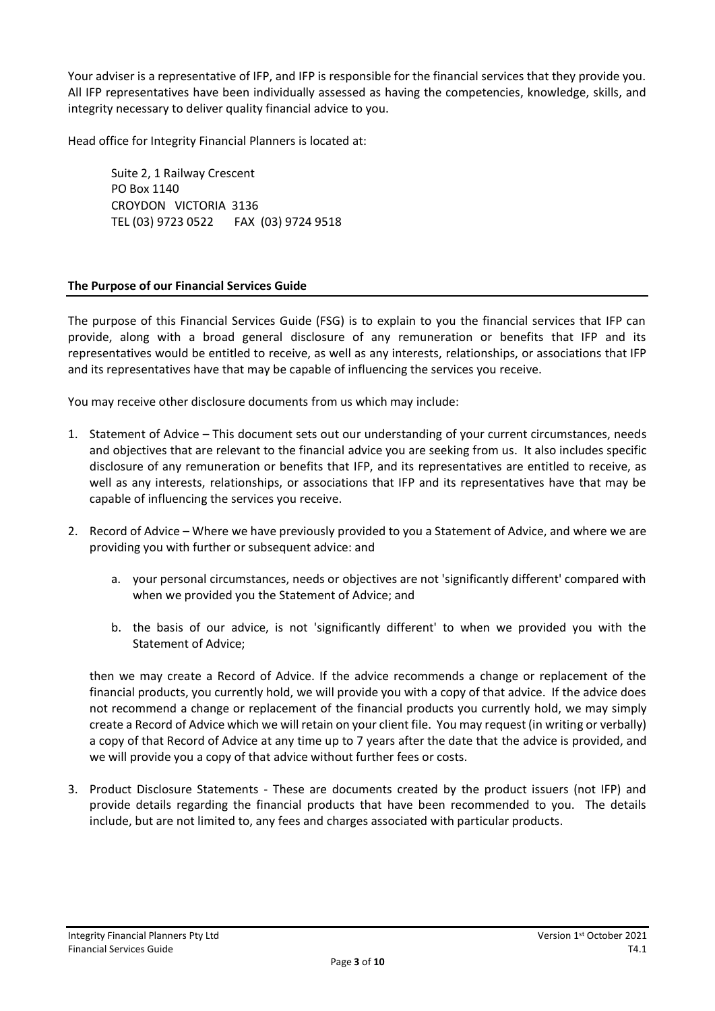Your adviser is a representative of IFP, and IFP is responsible for the financial services that they provide you. All IFP representatives have been individually assessed as having the competencies, knowledge, skills, and integrity necessary to deliver quality financial advice to you.

Head office for Integrity Financial Planners is located at:

Suite 2, 1 Railway Crescent PO Box 1140 CROYDON VICTORIA 3136 TEL (03) 9723 0522 FAX (03) 9724 9518

#### **The Purpose of our Financial Services Guide**

The purpose of this Financial Services Guide (FSG) is to explain to you the financial services that IFP can provide, along with a broad general disclosure of any remuneration or benefits that IFP and its representatives would be entitled to receive, as well as any interests, relationships, or associations that IFP and its representatives have that may be capable of influencing the services you receive.

You may receive other disclosure documents from us which may include:

- 1. Statement of Advice This document sets out our understanding of your current circumstances, needs and objectives that are relevant to the financial advice you are seeking from us. It also includes specific disclosure of any remuneration or benefits that IFP, and its representatives are entitled to receive, as well as any interests, relationships, or associations that IFP and its representatives have that may be capable of influencing the services you receive.
- 2. Record of Advice Where we have previously provided to you a Statement of Advice, and where we are providing you with further or subsequent advice: and
	- a. your personal circumstances, needs or objectives are not 'significantly different' compared with when we provided you the Statement of Advice; and
	- b. the basis of our advice, is not 'significantly different' to when we provided you with the Statement of Advice;

then we may create a Record of Advice. If the advice recommends a change or replacement of the financial products, you currently hold, we will provide you with a copy of that advice. If the advice does not recommend a change or replacement of the financial products you currently hold, we may simply create a Record of Advice which we will retain on your client file. You may request (in writing or verbally) a copy of that Record of Advice at any time up to 7 years after the date that the advice is provided, and we will provide you a copy of that advice without further fees or costs.

3. Product Disclosure Statements - These are documents created by the product issuers (not IFP) and provide details regarding the financial products that have been recommended to you. The details include, but are not limited to, any fees and charges associated with particular products.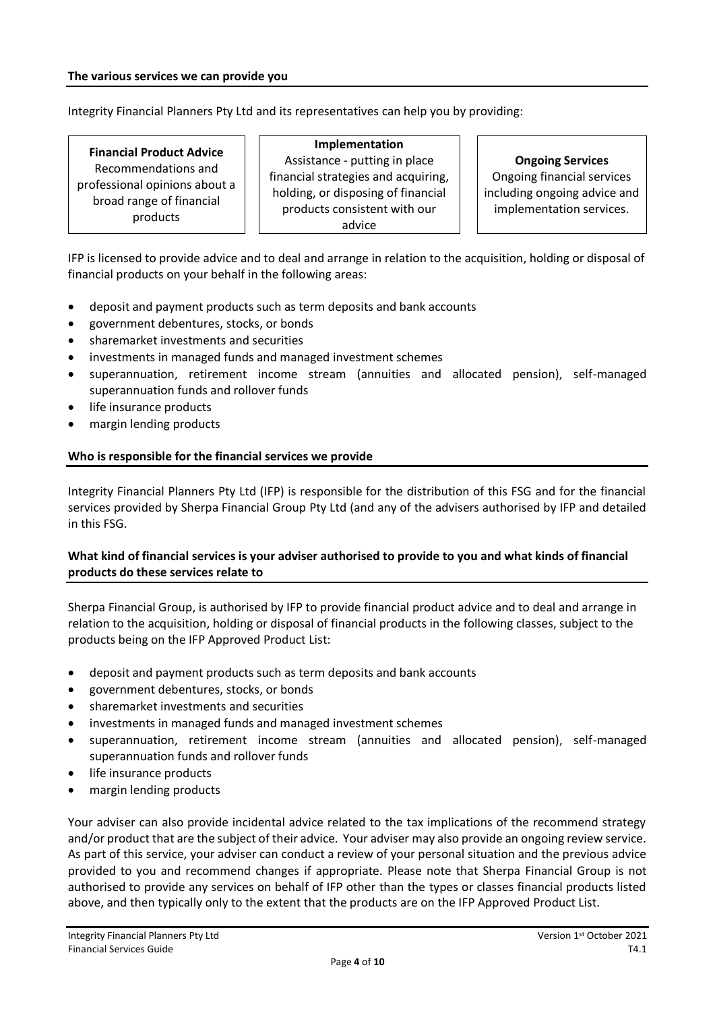Integrity Financial Planners Pty Ltd and its representatives can help you by providing:

## **Financial Product Advice**

Recommendations and professional opinions about a broad range of financial products

**Implementation** Assistance - putting in place financial strategies and acquiring, holding, or disposing of financial products consistent with our advice

#### **Ongoing Services**

Ongoing financial services including ongoing advice and implementation services.

IFP is licensed to provide advice and to deal and arrange in relation to the acquisition, holding or disposal of financial products on your behalf in the following areas:

- deposit and payment products such as term deposits and bank accounts
- government debentures, stocks, or bonds
- sharemarket investments and securities
- investments in managed funds and managed investment schemes
- superannuation, retirement income stream (annuities and allocated pension), self-managed superannuation funds and rollover funds
- life insurance products
- margin lending products

#### **Who is responsible for the financial services we provide**

Integrity Financial Planners Pty Ltd (IFP) is responsible for the distribution of this FSG and for the financial services provided by Sherpa Financial Group Pty Ltd (and any of the advisers authorised by IFP and detailed in this FSG.

#### **What kind of financial services is your adviser authorised to provide to you and what kinds of financial products do these services relate to**

Sherpa Financial Group, is authorised by IFP to provide financial product advice and to deal and arrange in relation to the acquisition, holding or disposal of financial products in the following classes, subject to the products being on the IFP Approved Product List:

- deposit and payment products such as term deposits and bank accounts
- government debentures, stocks, or bonds
- sharemarket investments and securities
- investments in managed funds and managed investment schemes
- superannuation, retirement income stream (annuities and allocated pension), self-managed superannuation funds and rollover funds
- life insurance products
- margin lending products

Your adviser can also provide incidental advice related to the tax implications of the recommend strategy and/or product that are the subject of their advice. Your adviser may also provide an ongoing review service. As part of this service, your adviser can conduct a review of your personal situation and the previous advice provided to you and recommend changes if appropriate. Please note that Sherpa Financial Group is not authorised to provide any services on behalf of IFP other than the types or classes financial products listed above, and then typically only to the extent that the products are on the IFP Approved Product List.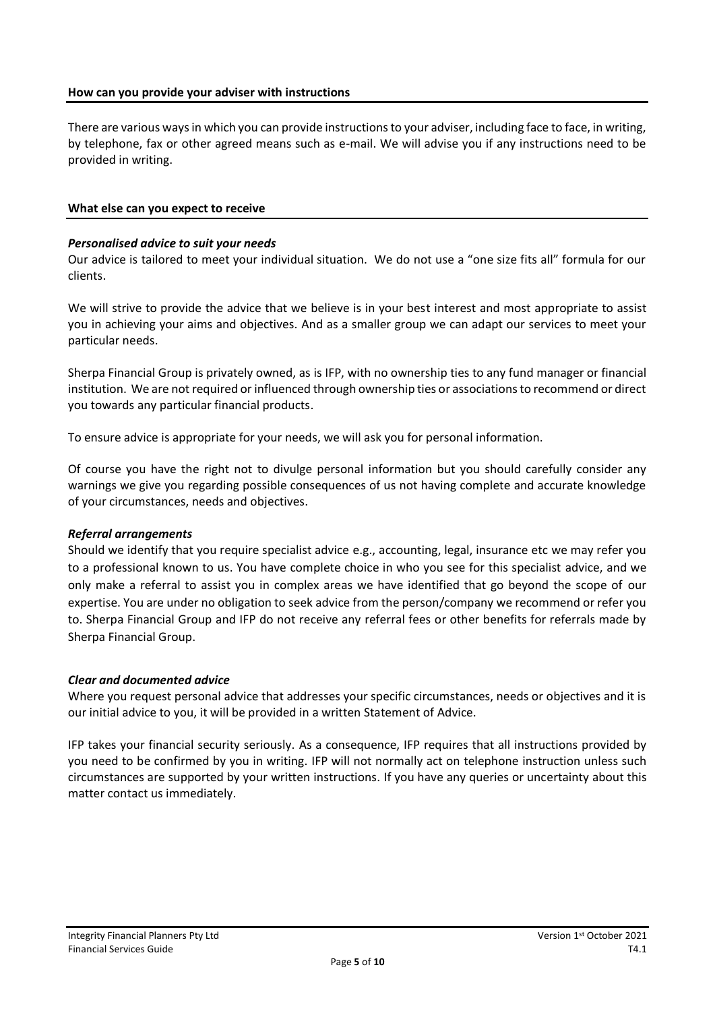#### **How can you provide your adviser with instructions**

There are various ways in which you can provide instructions to your adviser, including face to face, in writing, by telephone, fax or other agreed means such as e-mail. We will advise you if any instructions need to be provided in writing.

#### **What else can you expect to receive**

#### *Personalised advice to suit your needs*

Our advice is tailored to meet your individual situation. We do not use a "one size fits all" formula for our clients.

We will strive to provide the advice that we believe is in your best interest and most appropriate to assist you in achieving your aims and objectives. And as a smaller group we can adapt our services to meet your particular needs.

Sherpa Financial Group is privately owned, as is IFP, with no ownership ties to any fund manager or financial institution. We are not required or influenced through ownership ties or associations to recommend or direct you towards any particular financial products.

To ensure advice is appropriate for your needs, we will ask you for personal information.

Of course you have the right not to divulge personal information but you should carefully consider any warnings we give you regarding possible consequences of us not having complete and accurate knowledge of your circumstances, needs and objectives.

#### *Referral arrangements*

Should we identify that you require specialist advice e.g., accounting, legal, insurance etc we may refer you to a professional known to us. You have complete choice in who you see for this specialist advice, and we only make a referral to assist you in complex areas we have identified that go beyond the scope of our expertise. You are under no obligation to seek advice from the person/company we recommend or refer you to. Sherpa Financial Group and IFP do not receive any referral fees or other benefits for referrals made by Sherpa Financial Group.

#### *Clear and documented advice*

Where you request personal advice that addresses your specific circumstances, needs or objectives and it is our initial advice to you, it will be provided in a written Statement of Advice.

IFP takes your financial security seriously. As a consequence, IFP requires that all instructions provided by you need to be confirmed by you in writing. IFP will not normally act on telephone instruction unless such circumstances are supported by your written instructions. If you have any queries or uncertainty about this matter contact us immediately.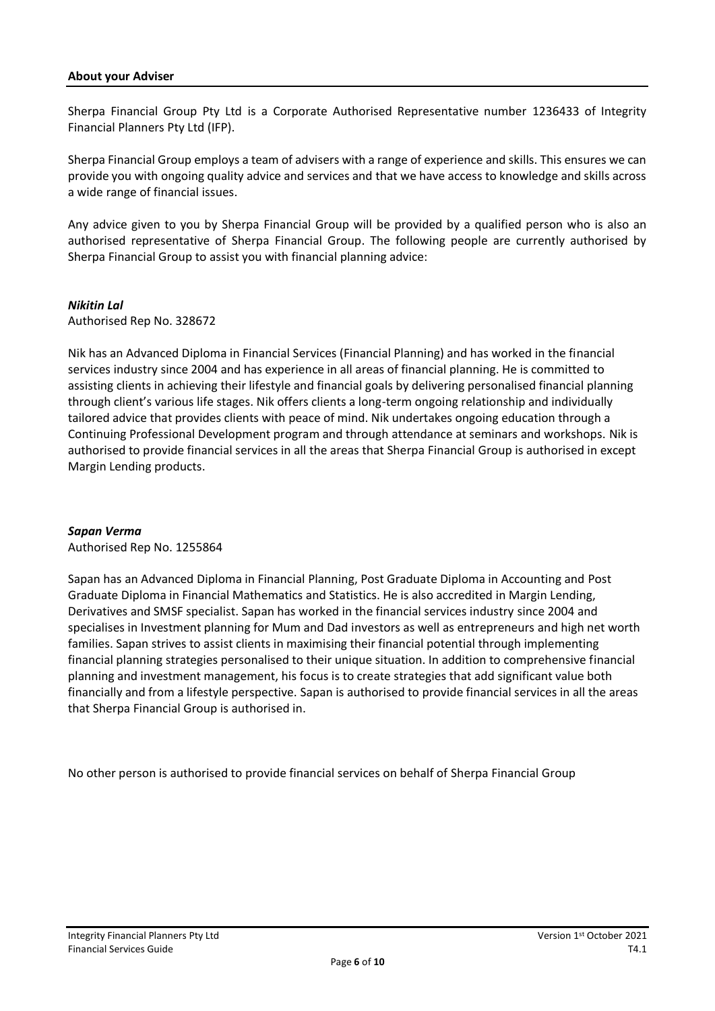#### **About your Adviser**

Sherpa Financial Group Pty Ltd is a Corporate Authorised Representative number 1236433 of Integrity Financial Planners Pty Ltd (IFP).

Sherpa Financial Group employs a team of advisers with a range of experience and skills. This ensures we can provide you with ongoing quality advice and services and that we have access to knowledge and skills across a wide range of financial issues.

Any advice given to you by Sherpa Financial Group will be provided by a qualified person who is also an authorised representative of Sherpa Financial Group. The following people are currently authorised by Sherpa Financial Group to assist you with financial planning advice:

#### *Nikitin Lal*

Authorised Rep No. 328672

Nik has an Advanced Diploma in Financial Services (Financial Planning) and has worked in the financial services industry since 2004 and has experience in all areas of financial planning. He is committed to assisting clients in achieving their lifestyle and financial goals by delivering personalised financial planning through client's various life stages. Nik offers clients a long-term ongoing relationship and individually tailored advice that provides clients with peace of mind. Nik undertakes ongoing education through a Continuing Professional Development program and through attendance at seminars and workshops. Nik is authorised to provide financial services in all the areas that Sherpa Financial Group is authorised in except Margin Lending products.

#### *Sapan Verma*

Authorised Rep No. 1255864

Sapan has an Advanced Diploma in Financial Planning, Post Graduate Diploma in Accounting and Post Graduate Diploma in Financial Mathematics and Statistics. He is also accredited in Margin Lending, Derivatives and SMSF specialist. Sapan has worked in the financial services industry since 2004 and specialises in Investment planning for Mum and Dad investors as well as entrepreneurs and high net worth families. Sapan strives to assist clients in maximising their financial potential through implementing financial planning strategies personalised to their unique situation. In addition to comprehensive financial planning and investment management, his focus is to create strategies that add significant value both financially and from a lifestyle perspective. Sapan is authorised to provide financial services in all the areas that Sherpa Financial Group is authorised in.

No other person is authorised to provide financial services on behalf of Sherpa Financial Group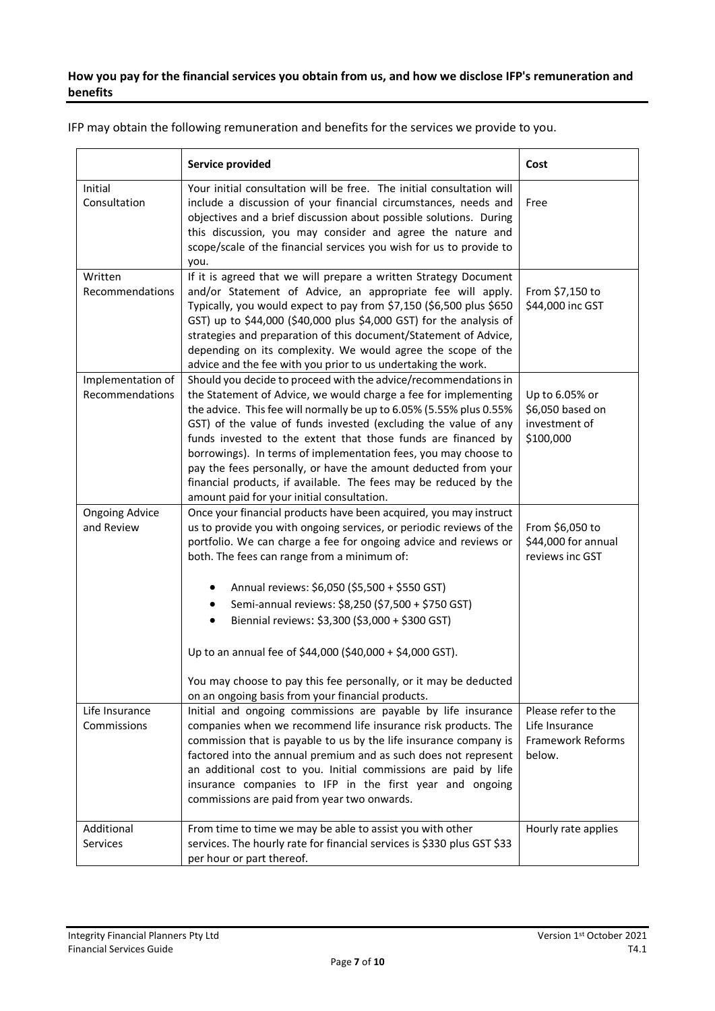## **How you pay for the financial services you obtain from us, and how we disclose IFP's remuneration and benefits**

| IFP may obtain the following remuneration and benefits for the services we provide to you. |  |
|--------------------------------------------------------------------------------------------|--|
|--------------------------------------------------------------------------------------------|--|

|                                      | Service provided                                                                                                                                                                                                                                                                                                                                                                                                                                                                                                                                                                                                         | Cost                                                                 |
|--------------------------------------|--------------------------------------------------------------------------------------------------------------------------------------------------------------------------------------------------------------------------------------------------------------------------------------------------------------------------------------------------------------------------------------------------------------------------------------------------------------------------------------------------------------------------------------------------------------------------------------------------------------------------|----------------------------------------------------------------------|
| Initial<br>Consultation              | Your initial consultation will be free. The initial consultation will<br>include a discussion of your financial circumstances, needs and<br>objectives and a brief discussion about possible solutions. During<br>this discussion, you may consider and agree the nature and<br>scope/scale of the financial services you wish for us to provide to<br>you.                                                                                                                                                                                                                                                              | Free                                                                 |
| Written<br>Recommendations           | If it is agreed that we will prepare a written Strategy Document<br>and/or Statement of Advice, an appropriate fee will apply.<br>Typically, you would expect to pay from \$7,150 (\$6,500 plus \$650<br>GST) up to \$44,000 (\$40,000 plus \$4,000 GST) for the analysis of<br>strategies and preparation of this document/Statement of Advice,<br>depending on its complexity. We would agree the scope of the<br>advice and the fee with you prior to us undertaking the work.                                                                                                                                        | From \$7,150 to<br>\$44,000 inc GST                                  |
| Implementation of<br>Recommendations | Should you decide to proceed with the advice/recommendations in<br>the Statement of Advice, we would charge a fee for implementing<br>the advice. This fee will normally be up to 6.05% (5.55% plus 0.55%<br>GST) of the value of funds invested (excluding the value of any<br>funds invested to the extent that those funds are financed by<br>borrowings). In terms of implementation fees, you may choose to<br>pay the fees personally, or have the amount deducted from your<br>financial products, if available. The fees may be reduced by the<br>amount paid for your initial consultation.                     | Up to 6.05% or<br>\$6,050 based on<br>investment of<br>\$100,000     |
| <b>Ongoing Advice</b><br>and Review  | Once your financial products have been acquired, you may instruct<br>us to provide you with ongoing services, or periodic reviews of the<br>portfolio. We can charge a fee for ongoing advice and reviews or<br>both. The fees can range from a minimum of:<br>Annual reviews: \$6,050 (\$5,500 + \$550 GST)<br>Semi-annual reviews: \$8,250 (\$7,500 + \$750 GST)<br>Biennial reviews: \$3,300 (\$3,000 + \$300 GST)<br>$\bullet$<br>Up to an annual fee of \$44,000 (\$40,000 + \$4,000 GST).<br>You may choose to pay this fee personally, or it may be deducted<br>on an ongoing basis from your financial products. | From \$6,050 to<br>\$44,000 for annual<br>reviews inc GST            |
| Life Insurance<br>Commissions        | Initial and ongoing commissions are payable by life insurance<br>companies when we recommend life insurance risk products. The<br>commission that is payable to us by the life insurance company is<br>factored into the annual premium and as such does not represent<br>an additional cost to you. Initial commissions are paid by life<br>insurance companies to IFP in the first year and ongoing<br>commissions are paid from year two onwards.                                                                                                                                                                     | Please refer to the<br>Life Insurance<br>Framework Reforms<br>below. |
| Additional<br><b>Services</b>        | From time to time we may be able to assist you with other<br>services. The hourly rate for financial services is \$330 plus GST \$33<br>per hour or part thereof.                                                                                                                                                                                                                                                                                                                                                                                                                                                        | Hourly rate applies                                                  |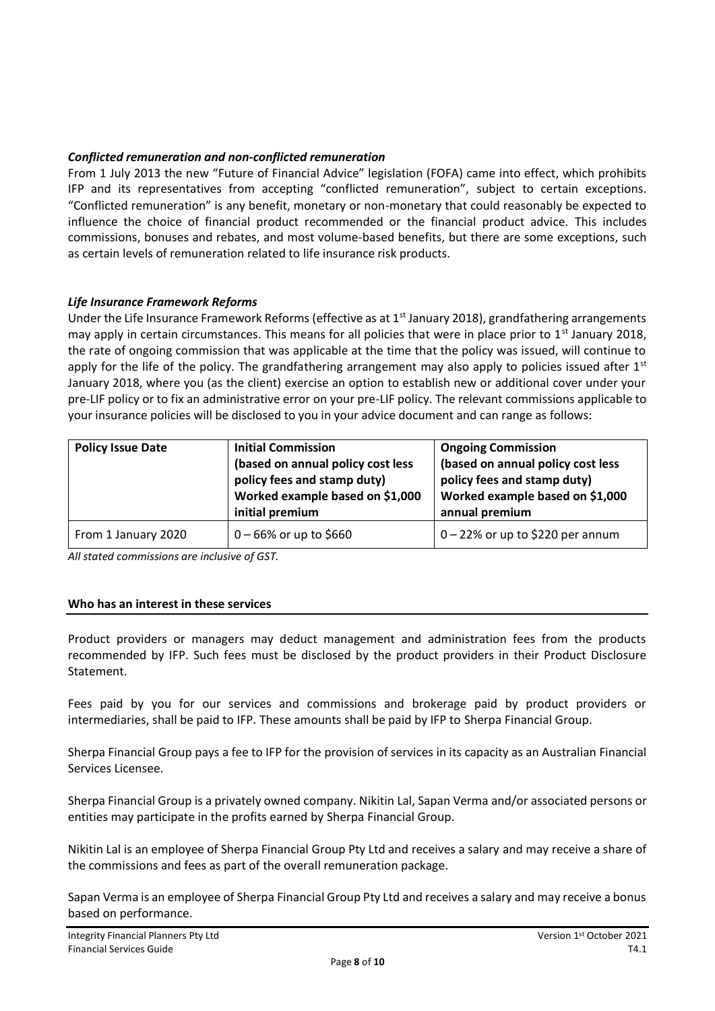### *Conflicted remuneration and non-conflicted remuneration*

From 1 July 2013 the new "Future of Financial Advice" legislation (FOFA) came into effect, which prohibits IFP and its representatives from accepting "conflicted remuneration", subject to certain exceptions. "Conflicted remuneration" is any benefit, monetary or non-monetary that could reasonably be expected to influence the choice of financial product recommended or the financial product advice. This includes commissions, bonuses and rebates, and most volume-based benefits, but there are some exceptions, such as certain levels of remuneration related to life insurance risk products.

#### *Life Insurance Framework Reforms*

Under the Life Insurance Framework Reforms (effective as at 1<sup>st</sup> January 2018), grandfathering arrangements may apply in certain circumstances. This means for all policies that were in place prior to 1<sup>st</sup> January 2018, the rate of ongoing commission that was applicable at the time that the policy was issued, will continue to apply for the life of the policy. The grandfathering arrangement may also apply to policies issued after  $1<sup>st</sup>$ January 2018, where you (as the client) exercise an option to establish new or additional cover under your pre-LIF policy or to fix an administrative error on your pre-LIF policy. The relevant commissions applicable to your insurance policies will be disclosed to you in your advice document and can range as follows:

| <b>Policy Issue Date</b> | <b>Initial Commission</b><br>(based on annual policy cost less<br>policy fees and stamp duty)<br>Worked example based on \$1,000<br>initial premium | <b>Ongoing Commission</b><br>(based on annual policy cost less<br>policy fees and stamp duty)<br>Worked example based on \$1,000<br>annual premium |
|--------------------------|-----------------------------------------------------------------------------------------------------------------------------------------------------|----------------------------------------------------------------------------------------------------------------------------------------------------|
| From 1 January 2020      | $0 - 66\%$ or up to \$660                                                                                                                           | $0 - 22%$ or up to \$220 per annum                                                                                                                 |

*All stated commissions are inclusive of GST.*

#### **Who has an interest in these services**

Product providers or managers may deduct management and administration fees from the products recommended by IFP. Such fees must be disclosed by the product providers in their Product Disclosure Statement.

Fees paid by you for our services and commissions and brokerage paid by product providers or intermediaries, shall be paid to IFP. These amounts shall be paid by IFP to Sherpa Financial Group.

Sherpa Financial Group pays a fee to IFP for the provision of services in its capacity as an Australian Financial Services Licensee.

Sherpa Financial Group is a privately owned company. Nikitin Lal, Sapan Verma and/or associated persons or entities may participate in the profits earned by Sherpa Financial Group.

Nikitin Lal is an employee of Sherpa Financial Group Pty Ltd and receives a salary and may receive a share of the commissions and fees as part of the overall remuneration package.

Sapan Verma is an employee of Sherpa Financial Group Pty Ltd and receives a salary and may receive a bonus based on performance.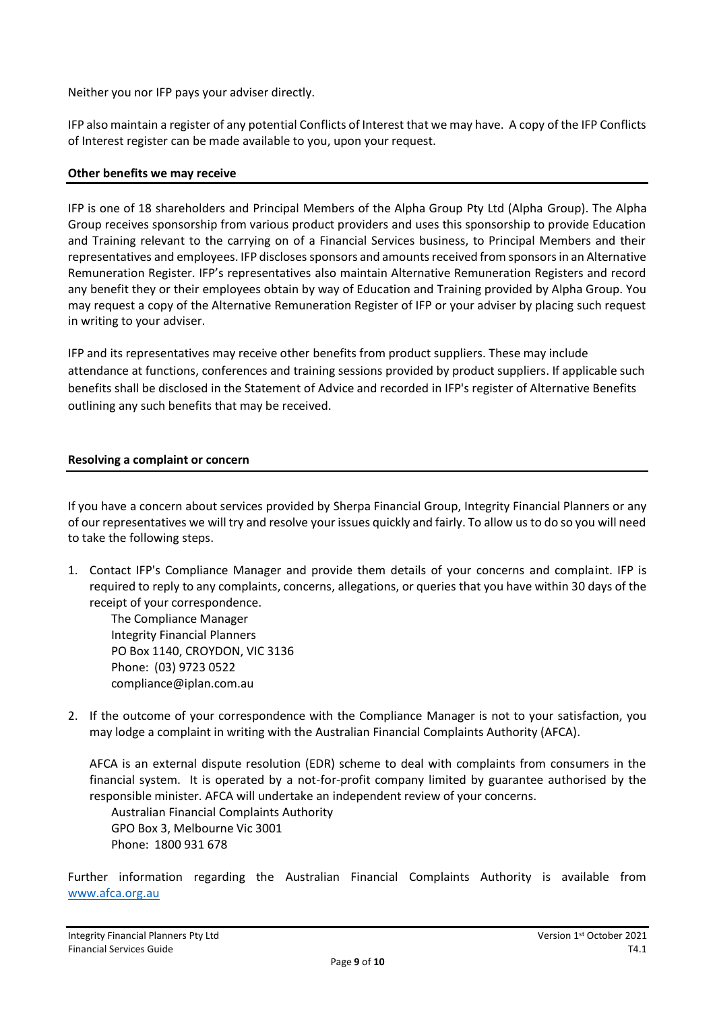Neither you nor IFP pays your adviser directly.

IFP also maintain a register of any potential Conflicts of Interest that we may have. A copy of the IFP Conflicts of Interest register can be made available to you, upon your request.

#### **Other benefits we may receive**

IFP is one of 18 shareholders and Principal Members of the Alpha Group Pty Ltd (Alpha Group). The Alpha Group receives sponsorship from various product providers and uses this sponsorship to provide Education and Training relevant to the carrying on of a Financial Services business, to Principal Members and their representatives and employees. IFP discloses sponsors and amounts received from sponsors in an Alternative Remuneration Register. IFP's representatives also maintain Alternative Remuneration Registers and record any benefit they or their employees obtain by way of Education and Training provided by Alpha Group. You may request a copy of the Alternative Remuneration Register of IFP or your adviser by placing such request in writing to your adviser.

IFP and its representatives may receive other benefits from product suppliers. These may include attendance at functions, conferences and training sessions provided by product suppliers. If applicable such benefits shall be disclosed in the Statement of Advice and recorded in IFP's register of Alternative Benefits outlining any such benefits that may be received.

#### **Resolving a complaint or concern**

If you have a concern about services provided by Sherpa Financial Group, Integrity Financial Planners or any of our representatives we will try and resolve your issues quickly and fairly. To allow us to do so you will need to take the following steps.

1. Contact IFP's Compliance Manager and provide them details of your concerns and complaint. IFP is required to reply to any complaints, concerns, allegations, or queries that you have within 30 days of the receipt of your correspondence.

The Compliance Manager Integrity Financial Planners PO Box 1140, CROYDON, VIC 3136 Phone: (03) 9723 0522 compliance@iplan.com.au

2. If the outcome of your correspondence with the Compliance Manager is not to your satisfaction, you may lodge a complaint in writing with the Australian Financial Complaints Authority (AFCA).

AFCA is an external dispute resolution (EDR) scheme to deal with complaints from consumers in the financial system. It is operated by a not-for-profit company limited by guarantee authorised by the responsible minister. AFCA will undertake an independent review of your concerns.

Australian Financial Complaints Authority GPO Box 3, Melbourne Vic 3001 Phone: 1800 931 678

Further information regarding the Australian Financial Complaints Authority is available from [www.afca.org.au](http://www.afca.org.au/)